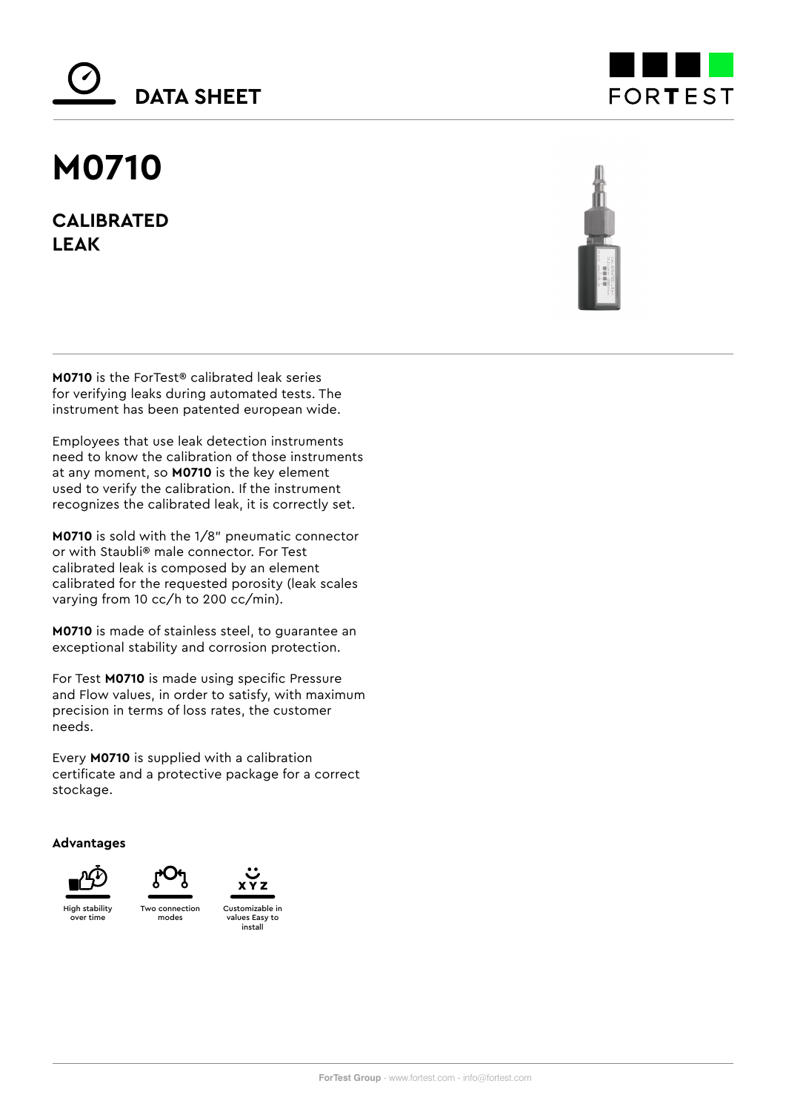# **DATA SHEET**

## **M0710**

**CALIBRATED LEAK**





**M0710** is the ForTest® calibrated leak series for verifying leaks during automated tests. The instrument has been patented european wide.

Employees that use leak detection instruments need to know the calibration of those instruments at any moment, so **M0710** is the key element used to verify the calibration. If the instrument recognizes the calibrated leak, it is correctly set.

**M0710** is sold with the 1/8" pneumatic connector or with Staubli® male connector. For Test calibrated leak is composed by an element calibrated for the requested porosity (leak scales varying from 10 cc/h to 200 cc/min).

**M0710** is made of stainless steel, to guarantee an exceptional stability and corrosion protection.

For Test **M0710** is made using specific Pressure and Flow values, in order to satisfy, with maximum precision in terms of loss rates, the customer needs.

Every **M0710** is supplied with a calibration certificate and a protective package for a correct stockage.

**Advantages**







values Easy to install